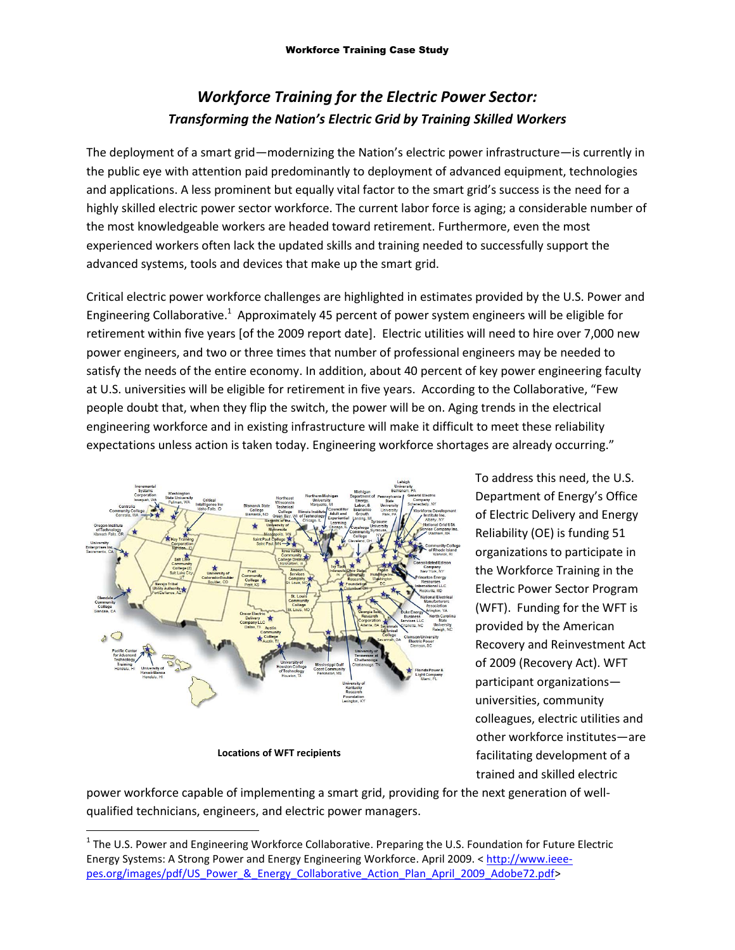## *Workforce Training for the Electric Power Sector: Transforming the Nation's Electric Grid by Training Skilled Workers*

The deployment of a smart grid—modernizing the Nation's electric power infrastructure—is currently in the public eye with attention paid predominantly to deployment of advanced equipment, technologies and applications. A less prominent but equally vital factor to the smart grid's success is the need for a highly skilled electric power sector workforce. The current labor force is aging; a considerable number of the most knowledgeable workers are headed toward retirement. Furthermore, even the most experienced workers often lack the updated skills and training needed to successfully support the advanced systems, tools and devices that make up the smart grid.

Critical electric power workforce challenges are highlighted in estimates provided by the U.S. Power and Engineering Collaborative.<sup>1</sup> Approximately 45 percent of power system engineers will be eligible for retirement within five years [of the 2009 report date]. Electric utilities will need to hire over 7,000 new power engineers, and two or three times that number of professional engineers may be needed to satisfy the needs of the entire economy. In addition, about 40 percent of key power engineering faculty at U.S. universities will be eligible for retirement in five years. According to the Collaborative, "Few people doubt that, when they flip the switch, the power will be on. Aging trends in the electrical engineering workforce and in existing infrastructure will make it difficult to meet these reliability expectations unless action is taken today. Engineering workforce shortages are already occurring."



**Locations of WFT recipients**

 $\overline{a}$ 

To address this need, the U.S. Department of Energy's Office of Electric Delivery and Energy Reliability (OE) is funding 51 organizations to participate in the Workforce Training in the Electric Power Sector Program (WFT). Funding for the WFT is provided by the American Recovery and Reinvestment Act of 2009 (Recovery Act). WFT participant organizations universities, community colleagues, electric utilities and other workforce institutes—are facilitating development of a trained and skilled electric

power workforce capable of implementing a smart grid, providing for the next generation of wellqualified technicians, engineers, and electric power managers.

<sup>&</sup>lt;sup>1</sup> The U.S. Power and Engineering Workforce Collaborative. Preparing the U.S. Foundation for Future Electric [Energy Systems: A Strong Power and Energy Engineering Workforce.](http://www.ieee-pes.org/images/pdf/US_Power_&_Energy_Collaborative_Action_Plan_April_2009_Adobe72.pdf) April 2009. < [http://www.ieee](http://www.ieee-pes.org/images/pdf/US_Power_&_Energy_Collaborative_Action_Plan_April_2009_Adobe72.pdf)[pes.org/images/pdf/US\\_Power\\_&\\_Energy\\_Collaborative\\_Action\\_Plan\\_April\\_2009\\_Adobe72.pdf>](http://www.ieee-pes.org/images/pdf/US_Power_&_Energy_Collaborative_Action_Plan_April_2009_Adobe72.pdf)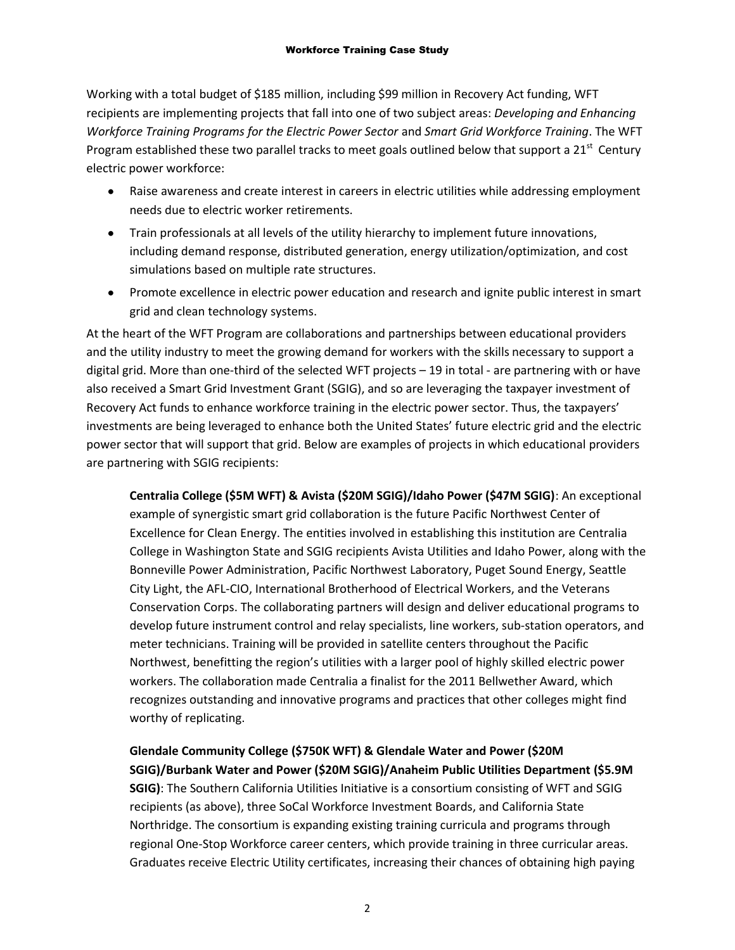Working with a total budget of \$185 million, including \$99 million in Recovery Act funding, WFT recipients are implementing projects that fall into one of two subject areas: *Developing and Enhancing Workforce Training Programs for the Electric Power Sector* and *Smart Grid Workforce Training*. The WFT Program established these two parallel tracks to meet goals outlined below that support a 21<sup>st</sup> Century electric power workforce:

- Raise awareness and create interest in careers in electric utilities while addressing employment needs due to electric worker retirements.
- Train professionals at all levels of the utility hierarchy to implement future innovations, including demand response, distributed generation, energy utilization/optimization, and cost simulations based on multiple rate structures.
- Promote excellence in electric power education and research and ignite public interest in smart grid and clean technology systems.

At the heart of the WFT Program are collaborations and partnerships between educational providers and the utility industry to meet the growing demand for workers with the skills necessary to support a digital grid. More than one-third of the selected WFT projects – 19 in total - are partnering with or have also received a Smart Grid Investment Grant (SGIG), and so are leveraging the taxpayer investment of Recovery Act funds to enhance workforce training in the electric power sector. Thus, the taxpayers' investments are being leveraged to enhance both the United States' future electric grid and the electric power sector that will support that grid. Below are examples of projects in which educational providers are partnering with SGIG recipients:

**Centralia College (\$5M WFT) & Avista (\$20M SGIG)/Idaho Power (\$47M SGIG)**: An exceptional example of synergistic smart grid collaboration is the future [Pacific Northwest Center of](http://www.centralia.edu/coe/)  [Excellence for Clean Energy.](http://www.centralia.edu/coe/) The entities involved in establishing this institution are [Centralia](http://www.centralia.edu/)  [College](http://www.centralia.edu/) in Washington State and SGIG recipients [Avista Utilities](http://www.smartgrid.gov/project/avista_utilities) and [Idaho Power,](http://www.smartgrid.gov/project/idaho_power_company) along with the [Bonneville Power Administration,](http://www.bpa.gov/corporate/) [Pacific Northwest Laboratory,](http://www.pnl.gov/) [Puget Sound Energy,](http://pse.com/Pages/default.aspx) [Seattle](http://www.seattle.gov/light/)  [City Light,](http://www.seattle.gov/light/) the [AFL-CIO,](http://www.aflcio.org/) [International Brotherhood of Electrical Workers,](http://www.ibew.org/) and the [Veterans](http://www.dva.wa.gov/vet_conservation_corps.html)  [Conservation Corps.](http://www.dva.wa.gov/vet_conservation_corps.html) The collaborating partners will design and deliver educational programs to develop future instrument control and relay specialists, line workers, sub-station operators, and meter technicians. Training will be provided in satellite centers throughout the Pacific Northwest, benefitting the region's utilities with a larger pool of highly skilled electric power workers. The collaboration made Centrali[a a finalist](http://news.centraliacollege.net/2011/76-center-of-excellence-earns-bellwether-award-finalist-recognition.aspx) for the 2011 Bellwether Award, which recognizes outstanding and innovative programs and practices that other colleges might find worthy of replicating.

**[Glendale Community College](http://www.glendale.edu/) (\$750K WFT) [& Glendale Water and Power](http://www.smartgrid.gov/project/city_glendale_water_and_power_smart_grid_project) (\$20M SGIG)[/Burbank Water and Power](http://www.smartgrid.gov/project/burbank_water_and_power_smart_grid_project) (\$20M SGIG)[/Anaheim Public Utilities Department](http://www.smartgrid.gov/project/city_anaheim_smart_grid_project) (\$5.9M SGIG)**: The Southern California Utilities Initiative is a consortium consisting of WFT and SGIG recipients (as above), three SoCal Workforce Investment Boards, and [California State](http://www.csun.edu/)  [Northridge.](http://www.csun.edu/) The consortium is expanding existing training curricula and programs through regional One-Stop Workforce career centers, which provide training in three curricular areas. Graduates receive Electric Utility certificates, increasing their chances of obtaining high paying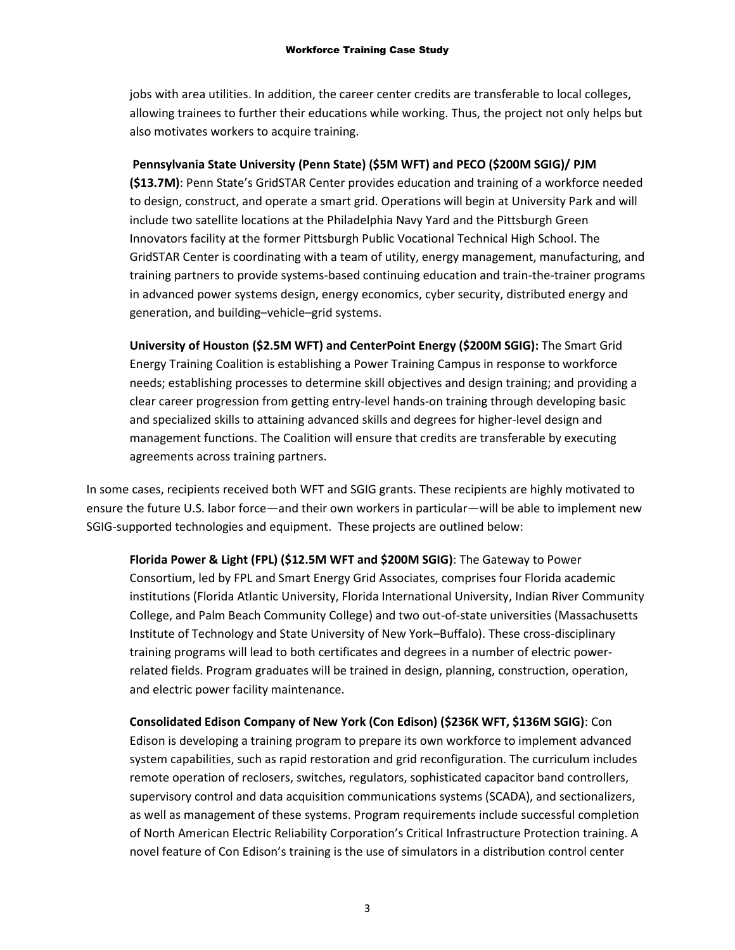jobs with area utilities. In addition, the career center credits are transferable to local colleges, allowing trainees to further their educations while working. Thus, the project not only helps but also motivates workers to acquire training.

## **[Pennsylvania State University](http://www.psu.edu/) (Penn State) (\$5M WFT) and [PECO](http://www.smartgrid.gov/project/peco) (\$200M SGIG)[/ PJM](http://www.smartgrid.gov/project/pjm_interconnection_llc)**

**(\$13.7M)**: Penn State's [GridSTAR Center](http://www.cfs.psu.edu/programs/grid-star-center.html) provides education and training of a workforce needed to design, construct, and operate a smart grid. Operations will begin at University Park and will include two satellite locations at the Philadelphia Navy Yard and the Pittsburgh Green Innovators facility at the former Pittsburgh Public Vocational Technical High School. The GridSTAR Center is coordinating with a team of utility, energy management, manufacturing, and training partners to provide systems-based continuing education and train-the-trainer programs in advanced power systems design, energy economics, cyber security, distributed energy and generation, and building–vehicle–grid systems.

**[University of Houston](http://www.uh.edu/) (\$2.5M WFT) an[d CenterPoint Energy](http://www.centerpointenergy.com/home) (\$200M SGIG):** The Smart Grid Energy Training Coalition is establishing a Power Training Campus in response to workforce needs; establishing processes to determine skill objectives and design training; and providing a clear career progression from getting entry-level hands-on training through developing basic and specialized skills to attaining advanced skills and degrees for higher-level design and management functions. The Coalition will ensure that credits are transferable by executing agreements across training partners.

In some cases, recipients received both WFT and SGIG grants. These recipients are highly motivated to ensure the future U.S. labor force—and their own workers in particular—will be able to implement new SGIG-supported technologies and equipment. These projects are outlined below:

**[Florida Power & Light](http://www.smartgrid.gov/project/florida_power_light_company) (FPL) (\$12.5M WFT and \$200M SGIG)**: The Gateway to Power Consortium, led by FPL and Smart Energy Grid Associates, comprises four Florida academic institutions [\(Florida Atlantic Un](http://www.fau.edu/)iversity, [Florida International Un](http://www.fiu.edu/)iversity, Indian River Community College, and Palm Beach Community College) and two out-of-state universities [\(Massachusetts](file://DOE/DFSFR/org_oe/oe/OE%20Staff%20Folders/Grosso,Matt/Communications/Blog%20posts/web.mit.edu)  [Institute of Te](file://DOE/DFSFR/org_oe/oe/OE%20Staff%20Folders/Grosso,Matt/Communications/Blog%20posts/web.mit.edu)chnology and [State University of New York](http://www.buffalo.edu/)–Buffalo). These cross-disciplinary training programs will lead to both certificates and degrees in a number of electric powerrelated fields. Program graduates will be trained in design, planning, construction, operation, and electric power facility maintenance.

**[Consolidated Edison Company of New York](http://www.smartgrid.gov/project/consolidated_edison_company_new_york_inc_smart_grid_deployment_project) (Con Edison) (\$236K WFT, \$136M SGIG)**: Con Edison is developing a training program to prepare its own workforce to implement advanced system capabilities, such as rapid restoration and grid reconfiguration. The curriculum includes remote operation of reclosers, switches, regulators, sophisticated capacitor band controllers, supervisory control and data acquisition communications systems (SCADA), and sectionalizers, as well as management of these systems. Program requirements include successful completion of North American Electric Reliability Corporation's Critical Infrastructure Protection training. A novel feature of Con Edison's training is the use of simulators in a distribution control center